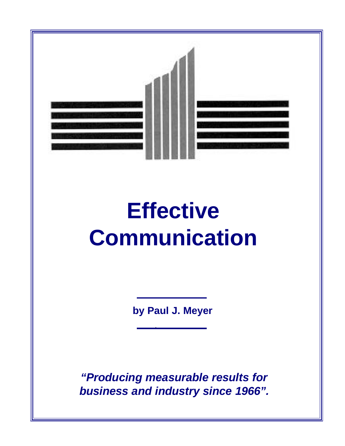

## **Effective Communication**

**by Paul J. Meyer**

*"Producing measurable results for business and industry since 1966".*